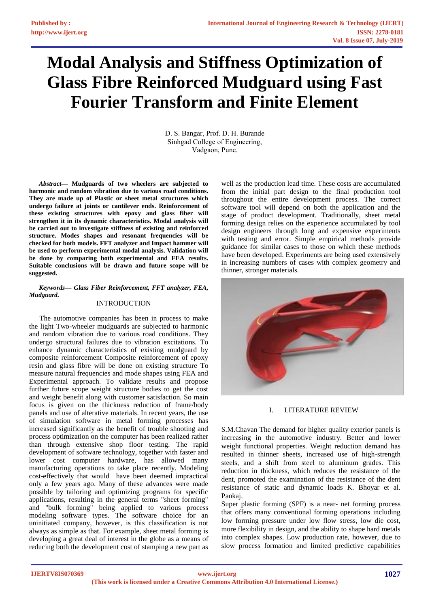# **Modal Analysis and Stiffness Optimization of Glass Fibre Reinforced Mudguard using Fast Fourier Transform and Finite Element**

D. S. Bangar, Prof. D. H. Burande Sinhgad College of Engineering, Vadgaon, Pune.

*Abstract***— Mudguards of two wheelers are subjected to harmonic and random vibration due to various road conditions. They are made up of Plastic or sheet metal structures which undergo failure at joints or cantilever ends. Reinforcement of these existing structures with epoxy and glass fiber will strengthen it in its dynamic characteristics. Modal analysis will be carried out to investigate stiffness of existing and reinforced structure. Modes shapes and resonant frequencies will be checked for both models. FFT analyzer and Impact hammer will be used to perform experimental modal analysis. Validation will be done by comparing both experimental and FEA results. Suitable conclusions will be drawn and future scope will be suggested.**

## *Keywords— Glass Fiber Reinforcement, FFT analyzer, FEA, Mudguard.*

# INTRODUCTION

The automotive companies has been in process to make the light Two-wheeler mudguards are subjected to harmonic and random vibration due to various road conditions. They undergo structural failures due to vibration excitations. To enhance dynamic characteristics of existing mudguard by composite reinforcement Composite reinforcement of epoxy resin and glass fibre will be done on existing structure To measure natural frequencies and mode shapes using FEA and Experimental approach. To validate results and propose further future scope weight structure bodies to get the cost and weight benefit along with customer satisfaction. So main focus is given on the thickness reduction of frame/body panels and use of alterative materials. In recent years, the use of simulation software in metal forming processes has increased significantly as the benefit of trouble shooting and process optimization on the computer has been realized rather than through extensive shop floor testing. The rapid development of software technology, together with faster and lower cost computer hardware, has allowed many manufacturing operations to take place recently. Modeling cost-effectively that would have been deemed impractical only a few years ago. Many of these advances were made possible by tailoring and optimizing programs for specific applications, resulting in the general terms "sheet forming" and "bulk forming" being applied to various process modeling software types. The software choice for an uninitiated company, however, is this classification is not always as simple as that. For example, sheet metal forming is developing a great deal of interest in the globe as a means of reducing both the development cost of stamping a new part as

well as the production lead time. These costs are accumulated from the initial part design to the final production tool throughout the entire development process. The correct software tool will depend on both the application and the stage of product development. Traditionally, sheet metal forming design relies on the experience accumulated by tool design engineers through long and expensive experiments with testing and error. Simple empirical methods provide guidance for similar cases to those on which these methods have been developed. Experiments are being used extensively in increasing numbers of cases with complex geometry and thinner, stronger materials.



# I. LITERATURE REVIEW

S.M.Chavan The demand for higher quality exterior panels is increasing in the automotive industry. Better and lower weight functional properties. Weight reduction demand has resulted in thinner sheets, increased use of high-strength steels, and a shift from steel to aluminum grades. This reduction in thickness, which reduces the resistance of the dent, promoted the examination of the resistance of the dent resistance of static and dynamic loads K. Bhoyar et al. Pankaj.

Super plastic forming (SPF) is a near- net forming process that offers many conventional forming operations including low forming pressure under low flow stress, low die cost, more flexibility in design, and the ability to shape hard metals into complex shapes. Low production rate, however, due to slow process formation and limited predictive capabilities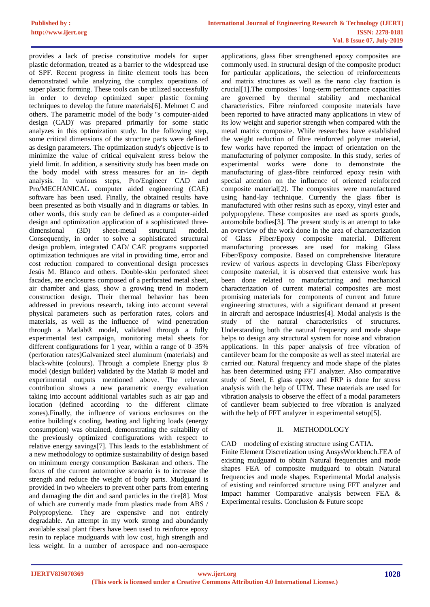provides a lack of precise constitutive models for super plastic deformation, treated as a barrier to the widespread use of SPF. Recent progress in finite element tools has been demonstrated while analyzing the complex operations of super plastic forming. These tools can be utilized successfully in order to develop optimized super plastic forming techniques to develop the future materials[6]. Mehmet C and others. The parametric model of the body ''s computer-aided design (CAD)' was prepared primarily for some static analyzes in this optimization study. In the following step, some critical dimensions of the structure parts were defined as design parameters. The optimization study's objective is to minimize the value of critical equivalent stress below the yield limit. In addition, a sensitivity study has been made on the body model with stress measures for an in- depth analysis. In various steps, Pro/Engineer CAD and Pro/MECHANICAL computer aided engineering (CAE) software has been used. Finally, the obtained results have been presented as both visually and in diagrams or tables. In other words, this study can be defined as a computer-aided design and optimization application of a sophisticated threedimensional (3D) sheet-metal structural model. Consequently, in order to solve a sophisticated structural design problem, integrated CAD/ CAE programs supported optimization techniques are vital in providing time, error and cost reduction compared to conventional design processes Jesús M. Blanco and others. Double-skin perforated sheet facades, are enclosures composed of a perforated metal sheet, air chamber and glass, show a growing trend in modern construction design. Their thermal behavior has been addressed in previous research, taking into account several physical parameters such as perforation rates, colors and materials, as well as the influence of wind penetration through a Matlab® model, validated through a fully experimental test campaign, monitoring metal sheets for different configurations for 1 year, within a range of 0–35% (perforation rates)Galvanized steel aluminum (materials) and black-white (colours). Through a complete Energy plus ® model (design builder) validated by the Matlab ® model and experimental outputs mentioned above. The relevant contribution shows a new parametric energy evaluation taking into account additional variables such as air gap and location (defined according to the different climate zones).Finally, the influence of various enclosures on the entire building's cooling, heating and lighting loads (energy consumption) was obtained, demonstrating the suitability of the previously optimized configurations with respect to relative energy savings[7]. This leads to the establishment of a new methodology to optimize sustainability of design based on minimum energy consumption Baskaran and others. The focus of the current automotive scenario is to increase the strength and reduce the weight of body parts. Mudguard is provided in two wheelers to prevent other parts from entering and damaging the dirt and sand particles in the tire[8]. Most of which are currently made from plastics made from ABS / Polypropylene. They are expensive and not entirely degradable. An attempt in my work strong and abundantly available sisal plant fibers have been used to reinforce epoxy resin to replace mudguards with low cost, high strength and less weight. In a number of aerospace and non-aerospace

applications, glass fiber strengthened epoxy composites are commonly used. In structural design of the composite product for particular applications, the selection of reinforcements and matrix structures as well as the nano clay fraction is crucial[1].The composites ' long-term performance capacities are governed by thermal stability and mechanical characteristics. Fibre reinforced composite materials have been reported to have attracted many applications in view of its low weight and superior strength when compared with the metal matrix composite. While researches have established the weight reduction of fibre reinforced polymer material, few works have reported the impact of orientation on the manufacturing of polymer composite. In this study, series of experimental works were done to demonstrate the manufacturing of glass-fibre reinforced epoxy resin with special attention on the influence of oriented reinforced composite material[2]. The composites were manufactured using hand-lay technique. Currently the glass fiber is manufactured with other resins such as epoxy, vinyl ester and polypropylene. These composites are used as sports goods, automobile bodies[3]. The present study is an attempt to take an overview of the work done in the area of characterization of Glass Fiber/Epoxy composite material. Different manufacturing processes are used for making Glass Fiber/Epoxy composite. Based on comprehensive literature review of various aspects in developing Glass Fiber/epoxy composite material, it is observed that extensive work has been done related to manufacturing and mechanical characterization of current material composites are most promising materials for components of current and future engineering structures, with a significant demand at present in aircraft and aerospace industries[4]. Modal analysis is the study of the natural characteristics of structures. Understanding both the natural frequency and mode shape helps to design any structural system for noise and vibration applications. In this paper analysis of free vibration of cantilever beam for the composite as well as steel material are carried out. Natural frequency and mode shape of the plates has been determined using FFT analyzer. Also comparative study of Steel, E glass epoxy and FRP is done for stress analysis with the help of UTM. These materials are used for vibration analysis to observe the effect of a modal parameters of cantilever beam subjected to free vibration is analyzed with the help of FFT analyzer in experimental setup[5].

# II. METHODOLOGY

# CAD modeling of existing structure using CATIA.

Finite Element Discretization using AnsysWorkbench.FEA of existing mudguard to obtain Natural frequencies and mode shapes FEA of composite mudguard to obtain Natural frequencies and mode shapes. Experimental Modal analysis of existing and reinforced structure using FFT analyzer and Impact hammer Comparative analysis between FEA & Experimental results. Conclusion & Future scope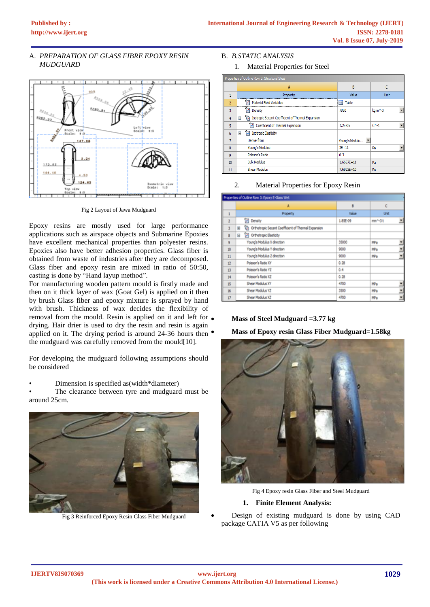# A. *PREPARATION OF GLASS FIBRE EPOXY RESIN MUDGUARD*



Fig 2 Layout of Jawa Mudguard

Epoxy resins are mostly used for large performance applications such as airspace objects and Submarine Epoxies have excellent mechanical properties than polyester resins. Epoxies also have better adhesion properties. Glass fiber is obtained from waste of industries after they are decomposed. Glass fiber and epoxy resin are mixed in ratio of 50:50, casting is done by "Hand layup method".

For manufacturing wooden pattern mould is firstly made and then on it thick layer of wax (Goat Gel) is applied on it then by brush Glass fiber and epoxy mixture is sprayed by hand with brush. Thickness of wax decides the flexibility of removal from the mould. Resin is applied on it and left for  $\bullet$ drying. Hair drier is used to dry the resin and resin is again applied on it. The drying period is around 24-36 hours then  $\bullet$ the mudguard was carefully removed from the mould[10].

For developing the mudguard following assumptions should be considered

# • Dimension is specified as(width\*diameter)

The clearance between tyre and mudguard must be around 25cm.



Fig 3 Reinforced Epoxy Resin Glass Fiber Mudguard

# B. *B.STATIC ANALYSIS*

1. Material Properties for Steel

| Properties of Outline Row 3: Structural Steel |                                                             |                |           |  |
|-----------------------------------------------|-------------------------------------------------------------|----------------|-----------|--|
|                                               | A                                                           | B              | C         |  |
|                                               | Property                                                    | Value          | Unit      |  |
| $\overline{2}$                                | <b>Material Field Variables</b>                             | 軍<br>Table     |           |  |
| 3                                             | Density                                                     | 7850           | kg m^-3   |  |
| 4                                             | ħ<br>Isotropic Secant Coefficient of Thermal Expansion<br>Ε |                |           |  |
| 5                                             | Coefficient of Thermal Expansion<br>z                       | $1.2E - 0.5$   | $C^{A-1}$ |  |
| 6                                             | Я<br><b>Isotropic Elasticity</b><br>Ξ                       |                |           |  |
| 7                                             | Derive from                                                 | Young's Modulu |           |  |
| 8                                             | Young's Modulus                                             | $2E + 11$      | Pa        |  |
| 9                                             | Poisson's Ratio                                             | 0.3            |           |  |
| 10                                            | <b>Bulk Modulus</b>                                         | $1.6667E + 11$ | Pa        |  |
| 11                                            | <b>Shear Modulus</b>                                        | $7.6923E + 10$ | Pa        |  |

## 2. Material Properties for Epoxy Resin

| Properties of Outline Row 3: Epoxy E-Glass Wet |                                                             |          |                     |  |
|------------------------------------------------|-------------------------------------------------------------|----------|---------------------|--|
|                                                | A                                                           | B        | ć                   |  |
| 1                                              | Property                                                    | Value    | Unit                |  |
| $\overline{2}$                                 | <b>Z</b> Density                                            | 1.89E-09 | mm <sup>A</sup> -3t |  |
| 3                                              | Ch Orthotropic Secant Coefficient of Thermal Expansion<br>H |          |                     |  |
| 8                                              | C Orthotropic Elasticity<br>8                               |          |                     |  |
| $\overline{9}$                                 | Young's Modulus X direction                                 | 35000    | MPa                 |  |
| 10                                             | Young's Modulus Y direction                                 | 9000     | Ξ<br>MPa            |  |
| 11                                             | Young's Modulus 2 direction                                 | 9000     | MPa                 |  |
| 12                                             | Poisson's Ratio XY                                          | 0.28     |                     |  |
| 13                                             | Poisson's Ratio YZ                                          | 0.4      |                     |  |
| 14                                             | Poisson's Ratio XZ                                          | 0.28     |                     |  |
| 15                                             | Shear Modulus XY                                            | 4700     | MPa                 |  |
| 16                                             | Shear Modulus YZ                                            | 3500     | Ξ<br>MPa            |  |
| 17                                             | Shear Modulus XZ                                            | 4700     | MPa                 |  |

# • **Mass of Steel Mudguard =3.77 kg**

• **Mass of Epoxy resin Glass Fiber Mudguard=1.58kg**



Fig 4 Epoxy resin Glass Fiber and Steel Mudguard

# **1. Finite Element Analysis:**

Design of existing mudguard is done by using CAD package CATIA V5 as per following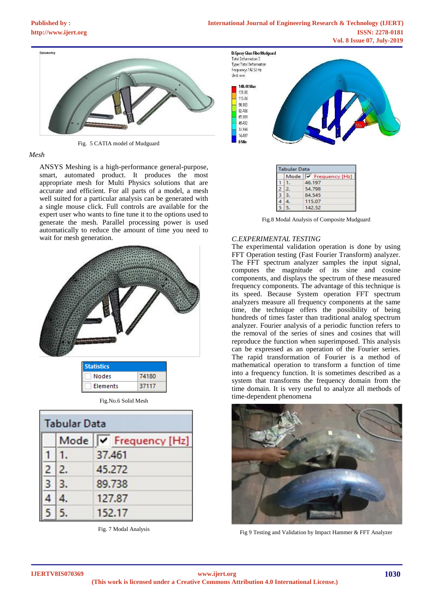

Fig. 5 CATIA model of Mudguard

### *Mesh*

ANSYS Meshing is a high-performance general-purpose, smart, automated product. It produces the most appropriate mesh for Multi Physics solutions that are accurate and efficient. For all parts of a model, a mesh well suited for a particular analysis can be generated with a single mouse click. Full controls are available for the expert user who wants to fine tune it to the options used to generate the mesh. Parallel processing power is used automatically to reduce the amount of time you need to wait for mesh generation.



| -------------   |       |
|-----------------|-------|
| <b>Nodes</b>    | 74180 |
| <b>Elements</b> | 37117 |
|                 |       |

| <b>Tabular Data</b> |      |                       |  |
|---------------------|------|-----------------------|--|
|                     |      | Mode V Frequency [Hz] |  |
|                     | 1.   | 37.461                |  |
|                     | 2 2. | 45,272                |  |
|                     | 3 3. | 89.738                |  |
|                     |      | 127.87                |  |
|                     |      | 152.17                |  |

Fig. 7 Modal Analysis



| <b>Tabular Data</b> |    |                       |  |
|---------------------|----|-----------------------|--|
|                     |    | Mode V Frequency [Hz] |  |
|                     |    | 46.197                |  |
|                     | 2. | 54.798                |  |
|                     | з. | 84.545                |  |
|                     |    | 115.07                |  |
|                     |    | 142.52                |  |

Fig.8 Modal Analysis of Composite Mudguard

## *C.EXPERIMENTAL TESTING*

The experimental validation operation is done by using FFT Operation testing (Fast Fourier Transform) analyzer. The FFT spectrum analyzer samples the input signal, computes the magnitude of its sine and cosine components, and displays the spectrum of these measured frequency components. The advantage of this technique is its speed. Because System operation FFT spectrum analyzers measure all frequency components at the same time, the technique offers the possibility of being hundreds of times faster than traditional analog spectrum analyzer. Fourier analysis of a periodic function refers to the removal of the series of sines and cosines that will reproduce the function when superimposed. This analysis can be expressed as an operation of the Fourier series. The rapid transformation of Fourier is a method of mathematical operation to transform a function of time into a frequency function. It is sometimes described as a system that transforms the frequency domain from the time domain. It is very useful to analyze all methods of time-dependent phenomena



Fig 9 Testing and Validation by Impact Hammer & FFT Analyzer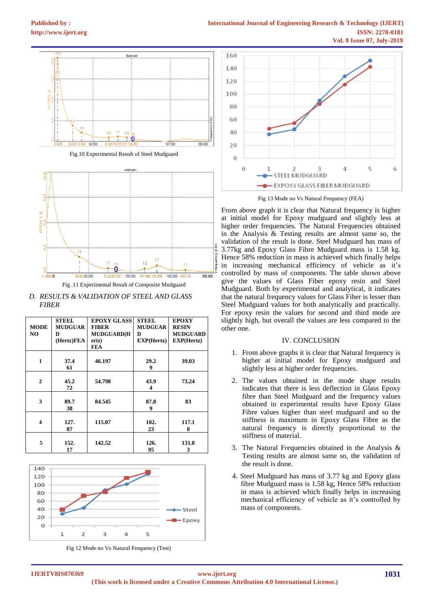

*D. RESULTS & VALIDATION OF STEEL AND GLASS FIBER*

|                         | <b>STEEL</b>   | <b>EPOXY GLASS</b> | <b>STEEL</b>   | <b>EPOXY</b>      |
|-------------------------|----------------|--------------------|----------------|-------------------|
| <b>MODE</b>             | <b>MUDGUAR</b> | <b>FIBER</b>       | <b>MUDGUAR</b> | <b>RESIN</b>      |
| NO.                     | D              | <b>MUDGUARD(H</b>  | D              | <b>MUDGUARD</b>   |
|                         | (Hertz)FEA     | ertz)              | EXP(Hertz)     | <b>EXP(Hertz)</b> |
|                         |                | <b>FEA</b>         |                |                   |
|                         |                |                    |                |                   |
| $\mathbf{1}$            | 37.4           | 46.197             | 29.2           | 39.03             |
|                         | 61             |                    | 9              |                   |
|                         |                |                    |                |                   |
| $\overline{2}$          | 45.2           | 54.798             | 43.9           | 73.24             |
|                         | 72             |                    | 4              |                   |
|                         |                |                    |                |                   |
| 3                       | 89.7           | 84.545             | 87.8           | 83                |
|                         | 38             |                    | 9              |                   |
|                         |                |                    |                |                   |
| $\overline{\mathbf{4}}$ | 127.           | 115.07             | 102.           | 117.1             |
|                         | 87             |                    | 23             | 8                 |
|                         |                |                    |                |                   |
| 5                       | 152.           | 142.52             | 126.           | 131.8             |
|                         | 17             |                    | 95             | 3                 |



Fig 12 Mode no Vs Natural Frequency (Test)



Fig 13 Mode no Vs Natural Frequency (FEA)

From above graph it is clear that Natural frequency is higher at initial model for Epoxy mudguard and slightly less at higher order frequencies. The Natural Frequencies obtained in the Analysis & Testing results are almost same so, the validation of the result is done. Steel Mudguard has mass of 3.77kg and Epoxy Glass Fibre Mudguard mass is 1.58 kg. Hence 58% reduction in mass is achieved which finally helps in increasing mechanical efficiency of vehicle as it's controlled by mass of components. The table shown above give the values of Glass Fiber epoxy resin and Steel Mudguard. Both by experimental and analytical, it indicates that the natural frequency values for Glass Fiber is lesser than Steel Mudguard values for both analytically and practically. For epoxy resin the values for second and third mode are slightly high, but overall the values are less compared to the other one.

#### IV. CONCLUSION

- 1. From above graphs it is clear that Natural frequency is higher at initial model for Epoxy mudguard and slightly less at higher order frequencies.
- 2. The values obtained in the mode shape results indicates that there is less deflection in Glass Epoxy fibre than Steel Mudguard and the frequency values obtained in experimental results have Epoxy Glass Fibre values higher than steel mudguard and so the stiffness is maximum in Epoxy Glass Fibre as the natural frequency is directly proportional to the stiffness of material.
- 3. The Natural Frequencies obtained in the Analysis & Testing results are almost same so, the validation of the result is done.
- 4. Steel Mudguard has mass of 3.77 kg and Epoxy glass fibre Mudguard mass is 1.58 kg, Hence 58% reduction in mass is achieved which finally helps in increasing mechanical efficiency of vehicle as it's controlled by mass of components.